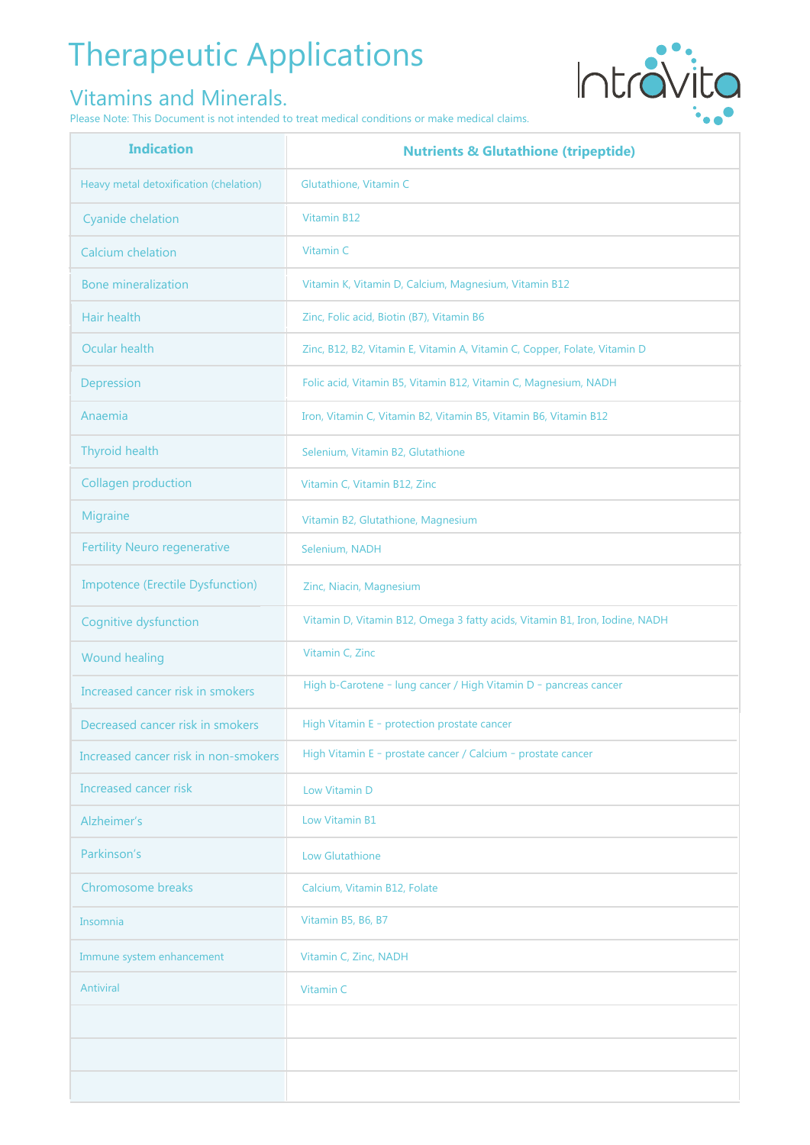# Therapeutic Applications

#### Vitamins and Minerals.

Please Note: This Document is not intended to treat medical conditions or make medical claims.



| <b>Indication</b>                       | <b>Nutrients &amp; Glutathione (tripeptide)</b>                             |
|-----------------------------------------|-----------------------------------------------------------------------------|
| Heavy metal detoxification (chelation)  | Glutathione, Vitamin C                                                      |
| <b>Cyanide chelation</b>                | Vitamin B12                                                                 |
| <b>Calcium</b> chelation                | Vitamin C                                                                   |
| <b>Bone mineralization</b>              | Vitamin K, Vitamin D, Calcium, Magnesium, Vitamin B12                       |
| Hair health                             | Zinc, Folic acid, Biotin (B7), Vitamin B6                                   |
| Ocular health                           | Zinc, B12, B2, Vitamin E, Vitamin A, Vitamin C, Copper, Folate, Vitamin D   |
| Depression                              | Folic acid, Vitamin B5, Vitamin B12, Vitamin C, Magnesium, NADH             |
| Anaemia                                 | Iron, Vitamin C, Vitamin B2, Vitamin B5, Vitamin B6, Vitamin B12            |
| Thyroid health                          | Selenium, Vitamin B2, Glutathione                                           |
| <b>Collagen production</b>              | Vitamin C, Vitamin B12, Zinc                                                |
| <b>Migraine</b>                         | Vitamin B2, Glutathione, Magnesium                                          |
| <b>Fertility Neuro regenerative</b>     | Selenium, NADH                                                              |
| <b>Impotence (Erectile Dysfunction)</b> | Zinc, Niacin, Magnesium                                                     |
| Cognitive dysfunction                   | Vitamin D, Vitamin B12, Omega 3 fatty acids, Vitamin B1, Iron, Iodine, NADH |
| <b>Wound healing</b>                    | Vitamin C, Zinc                                                             |
| Increased cancer risk in smokers        | High b-Carotene - lung cancer / High Vitamin D - pancreas cancer            |
| Decreased cancer risk in smokers        | High Vitamin E - protection prostate cancer                                 |
| Increased cancer risk in non-smokers    | High Vitamin E - prostate cancer / Calcium - prostate cancer                |
| Increased cancer risk                   | Low Vitamin D                                                               |
| Alzheimer's                             | Low Vitamin B1                                                              |
| Parkinson's                             | <b>Low Glutathione</b>                                                      |
| Chromosome breaks                       | Calcium, Vitamin B12, Folate                                                |
| Insomnia                                | Vitamin B5, B6, B7                                                          |
| Immune system enhancement               | Vitamin C, Zinc, NADH                                                       |
| Antiviral                               | Vitamin C                                                                   |
|                                         |                                                                             |
|                                         |                                                                             |
|                                         |                                                                             |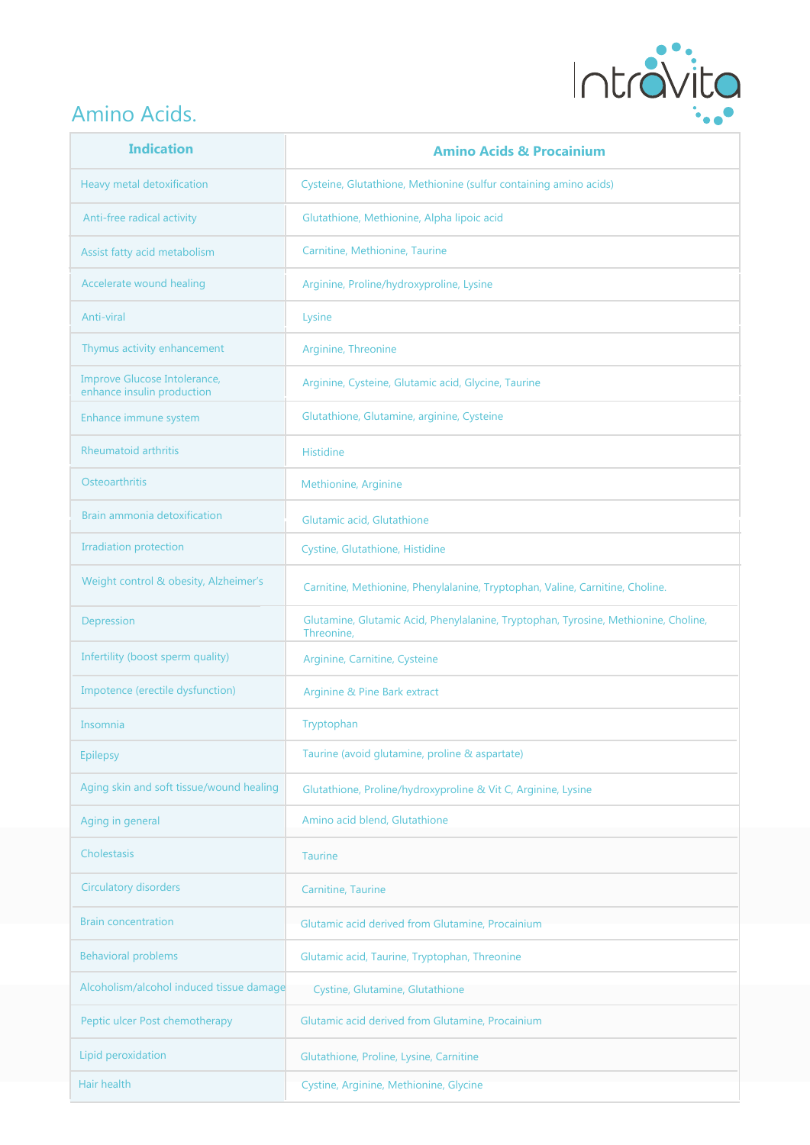

#### Amino Acids.

| <b>Indication</b>                                          | <b>Amino Acids &amp; Procainium</b>                                                               |
|------------------------------------------------------------|---------------------------------------------------------------------------------------------------|
| Heavy metal detoxification                                 | Cysteine, Glutathione, Methionine (sulfur containing amino acids)                                 |
| Anti-free radical activity                                 | Glutathione, Methionine, Alpha lipoic acid                                                        |
| Assist fatty acid metabolism                               | Carnitine, Methionine, Taurine                                                                    |
| Accelerate wound healing                                   | Arginine, Proline/hydroxyproline, Lysine                                                          |
| Anti-viral                                                 | Lysine                                                                                            |
| Thymus activity enhancement                                | Arginine, Threonine                                                                               |
| Improve Glucose Intolerance,<br>enhance insulin production | Arginine, Cysteine, Glutamic acid, Glycine, Taurine                                               |
| Enhance immune system                                      | Glutathione, Glutamine, arginine, Cysteine                                                        |
| <b>Rheumatoid arthritis</b>                                | <b>Histidine</b>                                                                                  |
| Osteoarthritis                                             | Methionine, Arginine                                                                              |
| Brain ammonia detoxification                               | Glutamic acid, Glutathione                                                                        |
| <b>Irradiation protection</b>                              | Cystine, Glutathione, Histidine                                                                   |
| Weight control & obesity, Alzheimer's                      | Carnitine, Methionine, Phenylalanine, Tryptophan, Valine, Carnitine, Choline.                     |
| Depression                                                 | Glutamine, Glutamic Acid, Phenylalanine, Tryptophan, Tyrosine, Methionine, Choline,<br>Threonine, |
| Infertility (boost sperm quality)                          | Arginine, Carnitine, Cysteine                                                                     |
| Impotence (erectile dysfunction)                           | Arginine & Pine Bark extract                                                                      |
| Insomnia                                                   | Tryptophan                                                                                        |
| <b>Epilepsy</b>                                            | Taurine (avoid glutamine, proline & aspartate)                                                    |
| Aging skin and soft tissue/wound healing                   | Glutathione, Proline/hydroxyproline & Vit C, Arginine, Lysine                                     |
| Aging in general                                           | Amino acid blend, Glutathione                                                                     |
| Cholestasis                                                | <b>Taurine</b>                                                                                    |
| <b>Circulatory disorders</b>                               | Carnitine, Taurine                                                                                |
| <b>Brain concentration</b>                                 | Glutamic acid derived from Glutamine, Procainium                                                  |
| <b>Behavioral problems</b>                                 | Glutamic acid, Taurine, Tryptophan, Threonine                                                     |
| Alcoholism/alcohol induced tissue damage                   | Cystine, Glutamine, Glutathione                                                                   |
| Peptic ulcer Post chemotherapy                             | Glutamic acid derived from Glutamine, Procainium                                                  |
| Lipid peroxidation                                         | Glutathione, Proline, Lysine, Carnitine                                                           |
| Hair health                                                | Cystine, Arginine, Methionine, Glycine                                                            |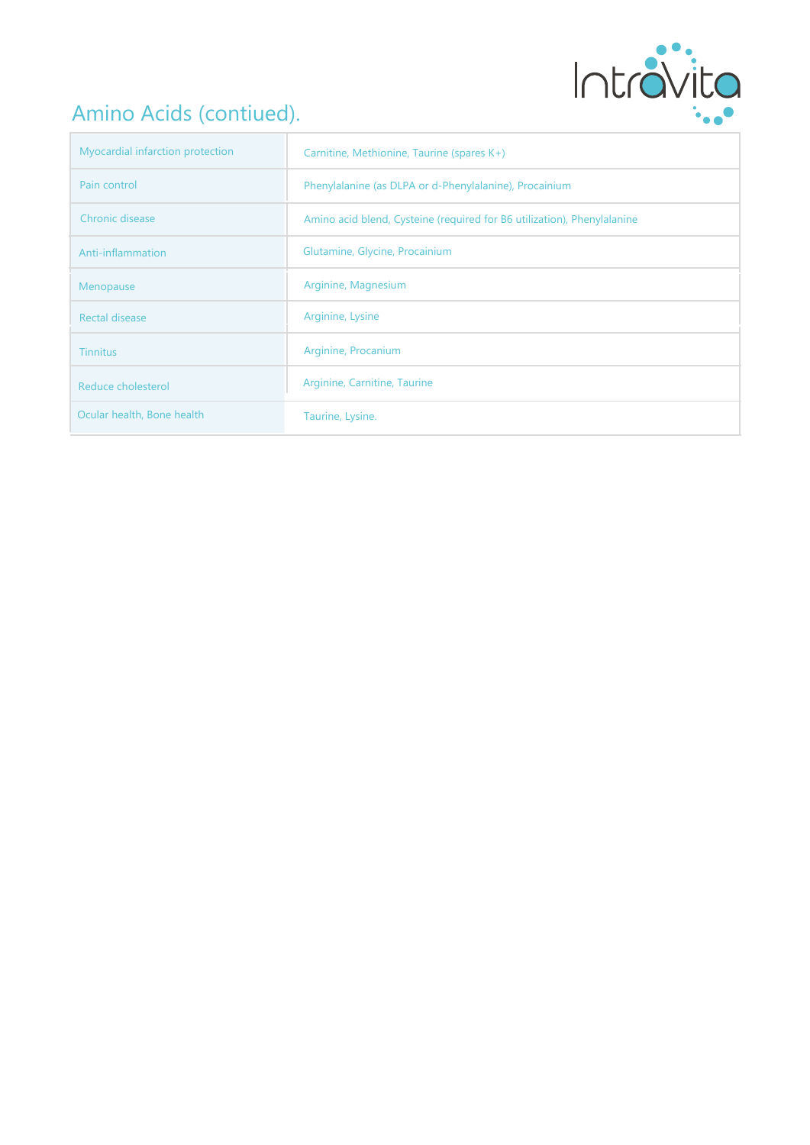

### Amino Acids (contiued).

| Myocardial infarction protection | Carnitine, Methionine, Taurine (spares K+)                              |
|----------------------------------|-------------------------------------------------------------------------|
| Pain control                     | Phenylalanine (as DLPA or d-Phenylalanine), Procainium                  |
| Chronic disease                  | Amino acid blend, Cysteine (required for B6 utilization), Phenylalanine |
| Anti-inflammation                | Glutamine, Glycine, Procainium                                          |
| Menopause                        | Arginine, Magnesium                                                     |
| Rectal disease                   | Arginine, Lysine                                                        |
| <b>Tinnitus</b>                  | Arginine, Procanium                                                     |
| Reduce cholesterol               | Arginine, Carnitine, Taurine                                            |
| Ocular health, Bone health       | Taurine, Lysine.                                                        |